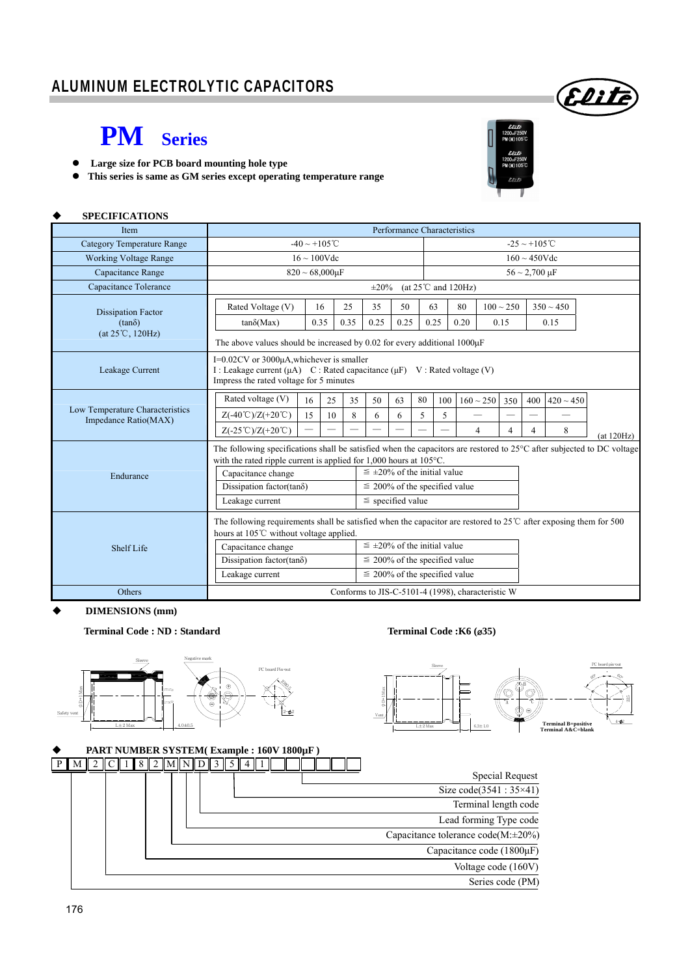### ALUMINUM ELECTROLYTIC CAPACITORS

## **PM Series**

 **Large size for PCB board mounting hole type** 





Elite

### **SPECIFICATIONS**

| <b>Item</b>                                             | Performance Characteristics                                                                                                                                                        |                          |                                      |                                    |      |      |     |                                                   |                |                |                           |                |            |  |  |
|---------------------------------------------------------|------------------------------------------------------------------------------------------------------------------------------------------------------------------------------------|--------------------------|--------------------------------------|------------------------------------|------|------|-----|---------------------------------------------------|----------------|----------------|---------------------------|----------------|------------|--|--|
| <b>Category Temperature Range</b>                       | $-40 \sim +105^{\circ}$ C                                                                                                                                                          |                          |                                      |                                    |      |      |     |                                                   |                |                | $-25 \sim +105^{\circ}$ C |                |            |  |  |
| <b>Working Voltage Range</b>                            | $16 \sim 100$ Vdc                                                                                                                                                                  |                          |                                      | $160 \sim 450$ Vdc                 |      |      |     |                                                   |                |                |                           |                |            |  |  |
| Capacitance Range                                       | $820 \sim 68,000 \mu F$                                                                                                                                                            |                          |                                      |                                    |      |      |     |                                                   |                |                | $56 \sim 2,700 \,\mu F$   |                |            |  |  |
| Capacitance Tolerance                                   | (at $25^{\circ}$ C and $120$ Hz)<br>$\pm 20\%$                                                                                                                                     |                          |                                      |                                    |      |      |     |                                                   |                |                |                           |                |            |  |  |
| <b>Dissipation Factor</b>                               | Rated Voltage (V)                                                                                                                                                                  | 16                       | 25                                   | 35                                 | 50   | 63   |     | 80                                                | $100 \sim 250$ |                | $350 \sim 450$            |                |            |  |  |
| $(tan\delta)$                                           | $tan\delta(Max)$                                                                                                                                                                   | 0.35                     | 0.35                                 | 0.25                               | 0.25 | 0.25 |     | 0.20                                              | 0.15           |                | 0.15                      |                |            |  |  |
| (at 25°C, 120Hz)                                        | The above values should be increased by 0.02 for every additional $1000\mu$ F                                                                                                      |                          |                                      |                                    |      |      |     |                                                   |                |                |                           |                |            |  |  |
| Leakage Current                                         | $I=0.02CV$ or 3000 $\mu$ A, whichever is smaller<br>I : Leakage current $(\mu A)$ C : Rated capacitance $(\mu F)$ V : Rated voltage (V)<br>Impress the rated voltage for 5 minutes |                          |                                      |                                    |      |      |     |                                                   |                |                |                           |                |            |  |  |
|                                                         | Rated voltage (V)                                                                                                                                                                  | 16<br>25                 | 35                                   | 50                                 | 63   | 80   | 100 | $160 \sim 250$                                    | 350            |                | 400                       | $420 \sim 450$ |            |  |  |
| Low Temperature Characteristics<br>Impedance Ratio(MAX) | $Z(-40^{\circ}\text{C})/Z(+20^{\circ}\text{C})$                                                                                                                                    | 15<br>10                 | 8                                    | 6                                  | 6    | 5    | 5   |                                                   |                |                |                           |                |            |  |  |
|                                                         | $Z(-25^{\circ}\text{C})/Z(+20^{\circ}\text{C})$                                                                                                                                    | $\overline{\phantom{0}}$ |                                      |                                    |      |      |     | 4                                                 |                | $\overline{4}$ | 4                         | 8              | (at 120Hz) |  |  |
|                                                         | The following specifications shall be satisfied when the capacitors are restored to $25^{\circ}$ C after subjected to DC voltage                                                   |                          |                                      |                                    |      |      |     |                                                   |                |                |                           |                |            |  |  |
|                                                         | with the rated ripple current is applied for 1,000 hours at 105°C.<br>$\leq \pm 20\%$ of the initial value<br>Capacitance change                                                   |                          |                                      |                                    |      |      |     |                                                   |                |                |                           |                |            |  |  |
| Endurance                                               | Dissipation factor(tan $\delta$ )                                                                                                                                                  |                          | $\leq$ 200% of the specified value   |                                    |      |      |     |                                                   |                |                |                           |                |            |  |  |
|                                                         | Leakage current                                                                                                                                                                    | $\le$ specified value    |                                      |                                    |      |      |     |                                                   |                |                |                           |                |            |  |  |
|                                                         | The following requirements shall be satisfied when the capacitor are restored to $25^{\circ}$ C after exposing them for 500                                                        |                          |                                      |                                    |      |      |     |                                                   |                |                |                           |                |            |  |  |
|                                                         | hours at 105°C without voltage applied.                                                                                                                                            |                          |                                      |                                    |      |      |     |                                                   |                |                |                           |                |            |  |  |
| Shelf Life                                              | Capacitance change                                                                                                                                                                 |                          | $\leq \pm 20\%$ of the initial value |                                    |      |      |     |                                                   |                |                |                           |                |            |  |  |
|                                                         | Dissipation factor(tan $\delta$ )                                                                                                                                                  |                          | $\leq$ 200% of the specified value   |                                    |      |      |     |                                                   |                |                |                           |                |            |  |  |
|                                                         | Leakage current                                                                                                                                                                    |                          |                                      | $\leq$ 200% of the specified value |      |      |     |                                                   |                |                |                           |                |            |  |  |
| Others                                                  |                                                                                                                                                                                    |                          |                                      |                                    |      |      |     | Conforms to JIS-C-5101-4 (1998), characteristic W |                |                |                           |                |            |  |  |

#### **DIMENSIONS (mm)**

#### **Terminal Code : ND : Standard Terminal Code :K6 (**ø**35)**



 $\frac{2}{\pi}$ Vent Sleeve 60 60°  $\frac{5}{25}$  $4 - 22$ PC board pin-out **Terminal B=positive Terminal A&C=blank** 6.3±1.0 \* A B \* ت<br>آ -

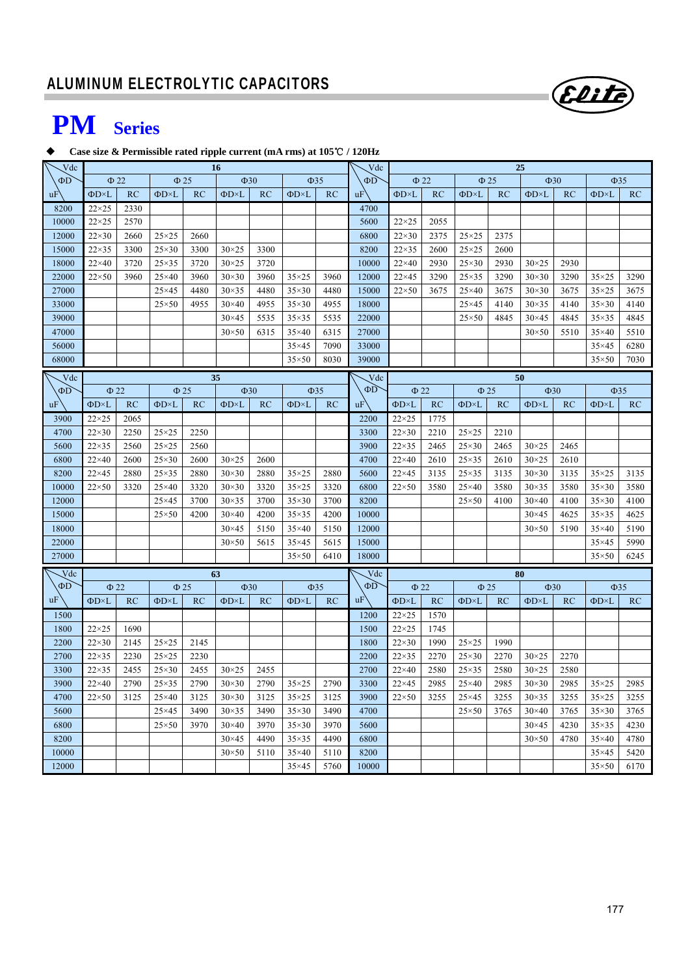

# **PM Series**

#### **Case size & Permissible rated ripple current (mA rms) at 105**℃ **/ 120Hz**

| Vdc      | <b>16</b>                           |           |                     |      |                |           | Vdc                 | 25        |                 |                     |           |                     |                        |                     |           |                     |           |  |
|----------|-------------------------------------|-----------|---------------------|------|----------------|-----------|---------------------|-----------|-----------------|---------------------|-----------|---------------------|------------------------|---------------------|-----------|---------------------|-----------|--|
| $\Phi$ D | $\Phi$ 22                           |           | $\Phi$ 25           |      | $\Phi$ 30      |           | $\Phi$ 35           |           | ΦD              |                     | $\Phi$ 22 |                     | $\Phi$ 25              |                     | $\Phi$ 30 |                     | $\Phi$ 35 |  |
| uF       | $\Phi$ D×L                          | RC        | $\Phi$ D×L          | RC   | ФD×L           | RC        | $\Phi$ D $\times$ L | RC        | uF              | $\Phi$ D $\times$ L | RC        | $\Phi$ D $\times$ L | RC                     | ФD×L                | RC        | ФD×L                | RC        |  |
| 8200     | $22\times25$                        | 2330      |                     |      |                |           |                     |           | 4700            |                     |           |                     |                        |                     |           |                     |           |  |
| 10000    | $22\times25$                        | 2570      |                     |      |                |           |                     |           | 5600            | $22\times25$        | 2055      |                     |                        |                     |           |                     |           |  |
| 12000    | $22\times30$                        | 2660      | $25\times25$        | 2660 |                |           |                     |           | 6800            | $22\times30$        | 2375      | $25\times25$        | 2375                   |                     |           |                     |           |  |
| 15000    | $22\times35$                        | 3300      | $25\times30$        | 3300 | $30 \times 25$ | 3300      |                     |           | 8200            | $22\times35$        | 2600      | $25\times25$        | 2600                   |                     |           |                     |           |  |
| 18000    | $22\times 40$                       | 3720      | $25\times35$        | 3720 | $30\times25$   | 3720      |                     |           | 10000           | $22\times40$        | 2930      | $25\times30$        | 2930                   | $30\times25$        | 2930      |                     |           |  |
| 22000    | $22\times50$                        | 3960      | $25\times40$        | 3960 | $30\times30$   | 3960      | $35\times25$        | 3960      | 12000           | $22\times 45$       | 3290      | $25\times35$        | 3290                   | $30\times30$        | 3290      | $35\times25$        | 3290      |  |
| 27000    |                                     |           | $25\times 45$       | 4480 | $30\times35$   | 4480      | $35\times30$        | 4480      | 15000           | $22\times50$        | 3675      | $25\times40$        | 3675                   | $30\times30$        | 3675      | $35\times25$        | 3675      |  |
| 33000    |                                     |           | $25\times50$        | 4955 | $30\times40$   | 4955      | $35\times30$        | 4955      | 18000           |                     |           | $25\times 45$       | 4140                   | $30\times35$        | 4140      | $35\times30$        | 4140      |  |
| 39000    |                                     |           |                     |      | $30\times45$   | 5535      | $35\times35$        | 5535      | 22000           |                     |           | $25\times50$        | 4845                   | $30\times45$        | 4845      | $35\times35$        | 4845      |  |
| 47000    |                                     |           |                     |      | $30\times50$   | 6315      | $35\times40$        | 6315      | 27000           |                     |           |                     |                        | $30\times50$        | 5510      | $35\times40$        | 5510      |  |
| 56000    |                                     |           |                     |      |                |           | $35\times45$        | 7090      | 33000           |                     |           |                     |                        |                     |           | $35\times45$        | 6280      |  |
| 68000    |                                     |           |                     |      |                |           | $35\times50$        | 8030      | 39000           |                     |           |                     |                        |                     |           | $35\times50$        | 7030      |  |
| Vdc      |                                     |           |                     |      | 35             |           |                     |           | Vdc             |                     |           |                     |                        | 50                  |           |                     |           |  |
| $\Phi$ D | $\Phi$ 22<br>$\Phi$ 25<br>$\Phi$ 30 |           |                     |      | $\Phi$ 35      |           | ΦD                  | $\Phi$ 22 |                 | $\Phi$ 25           |           |                     | $\Phi$ 35<br>$\Phi$ 30 |                     |           |                     |           |  |
| uF       | $\Phi$ D $\times$ L                 | <b>RC</b> | $\Phi$ D $\times$ L | RC   | $\Phi$ D×L     | RC        | $\Phi$ D $\times$ L | RC        | uF <sup>'</sup> | $\Phi$ D $\times$ L | RC        | $\Phi$ D $\times$ L | RC                     | $\Phi$ D $\times$ L | RC        | $\Phi$ D $\times$ L | RC        |  |
| 3900     | $22\times25$                        | 2065      |                     |      |                |           |                     |           | 2200            | $22\times25$        | 1775      |                     |                        |                     |           |                     |           |  |
| 4700     | $22\times30$                        | 2250      | $25\times25$        | 2250 |                |           |                     |           | 3300            | $22\times30$        | 2210      | $25\times25$        | 2210                   |                     |           |                     |           |  |
| 5600     | $22\times35$                        | 2560      | $25 \times 25$      | 2560 |                |           |                     |           | 3900            | $22\times35$        | 2465      | $25\times30$        | 2465                   | $30 \times 25$      | 2465      |                     |           |  |
| 6800     | $22\times40$                        | 2600      | $25\times30$        | 2600 | $30\times25$   | 2600      |                     |           | 4700            | $22\times40$        | 2610      | $25\times35$        | 2610                   | $30\times25$        | 2610      |                     |           |  |
| 8200     | $22\times 45$                       | 2880      | $25\times35$        | 2880 | $30\times30$   | 2880      | $35\times25$        | 2880      | 5600            | $22\times 45$       | 3135      | $25\times35$        | 3135                   | $30\times30$        | 3135      | $35\times25$        | 3135      |  |
| 10000    | $22\times50$                        | 3320      | $25\times40$        | 3320 | $30\times30$   | 3320      | $35\times25$        | 3320      | 6800            | $22\times50$        | 3580      | $25\times40$        | 3580                   | $30\times35$        | 3580      | $35\times30$        | 3580      |  |
| 12000    |                                     |           | $25\times 45$       | 3700 | $30\times35$   | 3700      | $35\times30$        | 3700      | 8200            |                     |           | $25 \times 50$      | 4100                   | $30\times40$        | 4100      | $35\times30$        | 4100      |  |
| 15000    |                                     |           | $25 \times 50$      | 4200 | $30\times40$   | 4200      | $35\times35$        | 4200      | 10000           |                     |           |                     |                        | $30\times45$        | 4625      | $35\times35$        | 4625      |  |
| 18000    |                                     |           |                     |      | $30\times45$   | 5150      | $35\times40$        | 5150      | 12000           |                     |           |                     |                        | $30\times50$        | 5190      | $35\times40$        | 5190      |  |
| 22000    |                                     |           |                     |      | $30\times50$   | 5615      | $35\times45$        | 5615      | 15000           |                     |           |                     |                        |                     |           | $35\times45$        | 5990      |  |
| 27000    |                                     |           |                     |      |                |           | $35\times50$        | 6410      | 18000           |                     |           |                     |                        |                     |           | $35\times50$        | 6245      |  |
| Vdc      |                                     |           |                     |      | 63             |           |                     |           | Vdc             |                     |           |                     |                        |                     |           |                     |           |  |
| $\Phi$ D | $\Phi$ 22                           |           | $\Phi$ 25           |      |                | $\Phi$ 30 | $\Phi$ 35           |           | $\Phi$ D        | $\Phi$ 22           |           | $\Phi$ 25           |                        | $\Phi$ 30           |           | $\Phi$ 35           |           |  |
| uF       | $\Phi$ D $\times$ L                 | RC        | $\Phi$ D $\times$ L | RC   | ΦD×L           | RC        | $\Phi$ D $\times$ L | RC        | uF              | $\Phi$ D $\times$ L | RC        | $\Phi$ D $\times$ L | RC                     | $\Phi$ D $\times$ L | RC        | $\Phi$ D $\times$ L | RC        |  |
| 1500     |                                     |           |                     |      |                |           |                     |           | 1200            | $22\times25$        | 1570      |                     |                        |                     |           |                     |           |  |
| 1800     | $22\times25$                        | 1690      |                     |      |                |           |                     |           | 1500            | $22\times25$        | 1745      |                     |                        |                     |           |                     |           |  |
| 2200     | $22\times30$                        | 2145      | $25 \times 25$      | 2145 |                |           |                     |           | 1800            | $22\times30$        | 1990      | $25\times25$        | 1990                   |                     |           |                     |           |  |
| 2700     | $22\times35$                        | 2230      | $25 \times 25$      | 2230 |                |           |                     |           | 2200            | $22\times35$        | 2270      | $25\times30$        | 2270                   | $30 \times 25$      | 2270      |                     |           |  |
| 3300     | $22\times35$                        | 2455      | $25\times30$        | 2455 | $30\times25$   | 2455      |                     |           | 2700            | $22\times40$        | 2580      | $25\times35$        | 2580                   | $30 \times 25$      | 2580      |                     |           |  |
| 3900     | $22\times 40$                       | 2790      | $25\times35$        | 2790 | $30\times30$   |           | 2790 35×25 2790     |           | 3300            | $22\times 45$       | 2985      | $25\times40$        | 2985                   | $30\times30$        |           | 2985 35×25 2985     |           |  |
| 4700     | $22\times50$                        | 3125      | $25\times40$        | 3125 | $30\times30$   | 3125      | $35\times25$        | 3125      | 3900            | $22\times50$        | 3255      | $25\times 45$       | 3255                   | $30\times35$        | 3255      | $35\times25$        | 3255      |  |
| 5600     |                                     |           | $25\times 45$       | 3490 | $30\times35$   | 3490      | $35\times30$        | 3490      | 4700            |                     |           | $25\times50$        | 3765                   | $30\times40$        | 3765      | $35\times30$        | 3765      |  |
| 6800     |                                     |           | $25\times50$        | 3970 | $30\times40$   | 3970      | $35\times30$        | 3970      | 5600            |                     |           |                     |                        | $30\times45$        | 4230      | $35\times35$        | 4230      |  |
| 8200     |                                     |           |                     |      | $30\times45$   | 4490      | $35\times35$        | 4490      | 6800            |                     |           |                     |                        | $30\times50$        | 4780      | $35\times40$        | 4780      |  |
| 10000    |                                     |           |                     |      | $30\times50$   | 5110      | $35\times40$        | 5110      | 8200            |                     |           |                     |                        |                     |           | $35\times45$        | 5420      |  |
| 12000    |                                     |           |                     |      |                |           | $35\times45$        | 5760      | 10000           |                     |           |                     |                        |                     |           | $35\times50$        | 6170      |  |